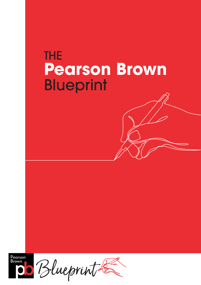# THE **Pearson Brown Blueprint**

Pearson Brown

Blueprint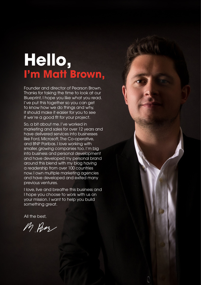# **Hello, I'm Matt Brown,**

Founder and director of Pearson Brown. Thanks for taking the time to look at our Blueprint, I hope you like what you read. I've put this together so you can get to know how we do things and why, it should make it easier for you to see if we're a good fit for your project.

So, a bit about me. I've worked in marketing and sales for over 12 years and have delivered services into businesses like Ford, Microsoft, The Co-operative, and BNP Paribas. I love working with smaller, growing companies too. I'm big into business and personal development and have developed my personal brand around this blend with my blog having a readership from over 100 countries now. I own multiple marketing agencies and have developed and exited many previous ventures.

I love, live and breathe this business and I hope you choose to work with us on your mission. I want to help you build something great.

All the best,

M Pen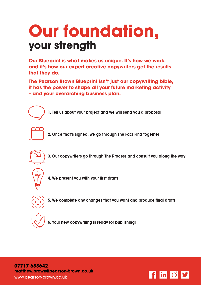# **Our foundation, your strength**

**Our Blueprint is what makes us unique. It's how we work, and it's how our expert creative copywriters get the results that they do.**

**The Pearson Brown Blueprint isn't just our copywriting bible, it has the power to shape all your future marketing activity – and your overarching business plan.**

**1. Tell us about your project and we will send you a proposal**



**2. Once that's signed, we go through The Fact Find together**



**3. Our copywriters go through The Process and consult you along the way**



**4. We present you with your first drafts**



**5. We complete any changes that you want and produce final drafts**



**6. Your new copywriting is ready for publishing!**

**07717 683642 matthew.brown@pearson-brown.co.uk** www.pearson-brown.co.uk

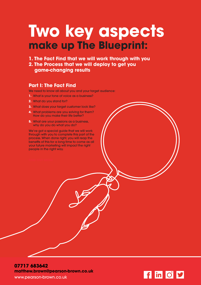# **Two key aspects make up The Blueprint:**

### **1. The Fact Find that we will work through with you 2. The Process that we will deploy to get you game-changing results**

### **Part I: The Fact Find**

We need to know all about you and your target audience:

- **1.** What is your tone of voice as a business?
- **2.** What do you stand for?
- **3.** What does your target customer look like?
- **4.** What problems are you solving for them? How do you make their life better?
- **5.** What are your passions as a business, why do you do what you do?

We've got a special guide that we will work through with you to complete this part of the process. When done right, you will reap the benefits of this for a long time to come as all your future marketing will impact the right people in the right way.



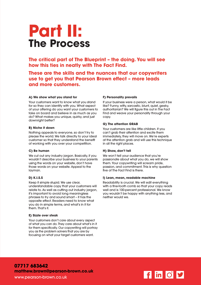## **Part II: The Process**

**The critical part of The Blueprint – the doing. You will see how this ties in neatly with The Fact Find.**

**These are the skills and the nuances that our copywriters use to get you that Pearson Brown effect – more leads and more customers.**

### **A) We show what you stand for**

Your customers want to know what you stand for so they can identify with you. What aspect of your offering do you want your customers to take on board and believe in as much as you do? What makes you unique, quirky, and just downright better?

#### **B) Niche it down**

Nothing appeals to everyone, so don't try to please the world. We talk directly to your ideal customer so that they understand the benefit of working with you over your competition.

### **C) Be human**

We cut out any industry jargon. Basically, if you wouldn't describe your business to your parents using the words on your website, don't have those words on your website. Appeal to the layman.

### **D) K.I.S.S**

Keep it simple stupid. We use clear, understandable copy that your customers will relate to. As well as cutting out industry jargon, it's important to avoid long meaningless phrases to try and sound smart – it has the opposite effect. Readers need to know what you do in simple terms, and what's in it for them. That's it.

#### **E) Sizzle over steak**

Your customers don't care about every aspect of what you can do. They care about what's in it for them specifically. Our copywriting will portray you as the problem solvers that you are by focusing on what your target customers want.

### **F) Personality prevails**

If your business were a person, what would it be like? Funny, witty, sarcastic, blunt, quiet, geeky, authoritarian? We will figure this out in The Fact Find and weave your personality through your copy.

### **G) The attention GRAB**

Your customers are like little children. If you can't grab their attention and excite them immediately, they will move on. We're experts at the attention grab and will use this technique in all the right places.

#### **H) Show, don't tell**

We won't tell your audience that you're passionate about what you do, we will show them. Your copywriting will scream pride, passion, and commitment. This is why question five of The Fact Find is there.

#### **I) Lean, mean, readable machine**

Readability is crucial. We will edit everything with a fine-tooth comb so that your copy reads well and is 100-percent professional. We know you wouldn't be happy with anything less, and neither would we.

**07717 683642 matthew.brown@pearson-brown.co.uk** www.pearson-brown.co.uk

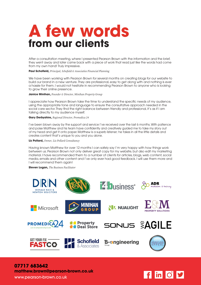# **A few words from our clients**

After a consultation meeting, where I presented Pearson Brown with the information and the brief, they went away and later came back with a piece of work that read just like the words had come from my own hand! Truly impressive.

**Paul Schofield,** *Principal, Schofield & Associaties Financial Planning*

We have been working with Pearson Brown for several months on creating blogs for our website to build our brand in a new venture. They are professional, easy to get along with and nothing is ever a hassle for them. I would not hesitate in recommending Pearson Brown to anyone who is looking to grow their online presence.

**Janice Minihan,** *Founder & Director, Minihan Property Group*

I appreciate how Pearson Brown take the time to understand the specific needs of my audience, using the appropriate tone and language to ensure the consultative approach needed in the social care sector. They find the right balance between friendly and professional, it's as if I am talking directly to my audience myself.

**Gary Derbyshire,** *Regional Director, Promedica 24*

I've been blown away by the support and service I've received over the last 6 months. With patience and poise Matthew and his team have confidently and creatively guided me to take my story out of my head and get it onto paper. Matthew is a superb listener; he takes in all the little details and creates content that's unique to you and you alone.

**Liz Pollard,** *Owner, Liz Pollard Consultancy*

Having known Matthew for over 12 months I can safely say I'm very happy with how things work between us. Pearson Brown not only deliver great copy for my website, but also edit my marketing material. I have recommended them to a number of clients for articles, blogs, web content, social media, emails and other content and I've only ever had good feedback. I will use them more and I will recommend them again!

**Steven Logan,** *The Business Facilitator*



**07717 683642 matthew.brown@pearson-brown.co.uk** www.pearson-brown.co.uk

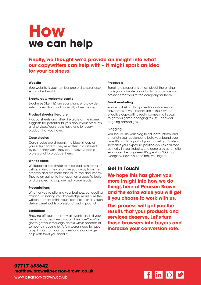### **How we can help**

### **Finally, we thought we'd provide an insight into what our copywriters can help with – it might spark an idea for your business.**

### **Website**

Your website is your number one online sales asset, let's make it work!

### **Brochures & welcome packs**

Brochures (like this) are your chance to provide extra information, and hopefully close the deal.

### **Product sheets/literature**

Product sheets and other literature as the name suggests tell potential buyers about your products and services. You should have one for every product that you have.

### **Case studies**

Case studies are different: the black sheep of your sales content. They're written in a different style, but they work. They do, however, need a professional to produce them.

### **Whitepapers**

Whitepapers are similar to case studies in terms of writing style as they also take you away from the creative and are more factual, formal documents. They're an authoritative report on a specific topic and are great to capture high value leads.

### **Presentations**

Whether you're pitching your business, conducting training, or sharing your knowledge, make sure the written content within your PowerPoint, or any such delivery method, is professional and impactful.

### **Exhibitions**

Showing off your company at events, and all your perfectly crafted new product literature? You've got to get your message across within seconds of someone stopping by. A few words need to have a big impact on your banners and stands – get help with this if you need it.

### **Proposals**

Sending a proposal isn't just about the pricing, this is your ultimate opportunity to convince your prospect that you're the company for them.

### **Email marketing**

Your email list is full of potential customers and advocates of your brand: use it. This is where effective copywriting really comes into its own to get you game-changing results – consider ongoing campaigns.

### **Blogging**

You should use your blog to educate, inform, and entertain your audience to build your brand over time. It's a critical part of your marketing. Content increases your exposure, positions you as a trusted authority in your industry, and generates automatic leads over the long-term. It's great for SEO too, Google will love you and rank you higher.

### **Get In Touch!**

**We hope this has given you more insight into how we do things here at Pearson Brown and the extra value you will get if you choose to work with us.**

**This process will get you the results that your products and services deserve. Let's turn those browsers into buyers and increase your conversion rate.**